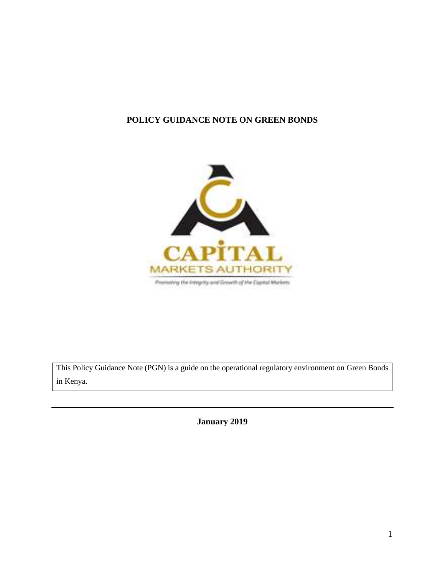# **POLICY GUIDANCE NOTE ON GREEN BONDS**



This Policy Guidance Note (PGN) is a guide on the operational regulatory environment on Green Bonds in Kenya.

**January 2019**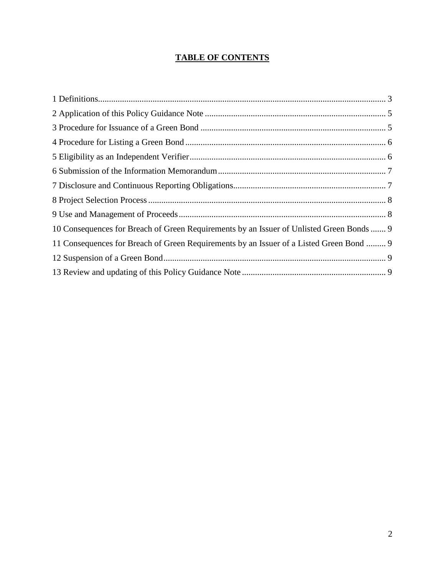# **TABLE OF CONTENTS**

| 10 Consequences for Breach of Green Requirements by an Issuer of Unlisted Green Bonds  9 |
|------------------------------------------------------------------------------------------|
| 11 Consequences for Breach of Green Requirements by an Issuer of a Listed Green Bond  9  |
|                                                                                          |
|                                                                                          |
|                                                                                          |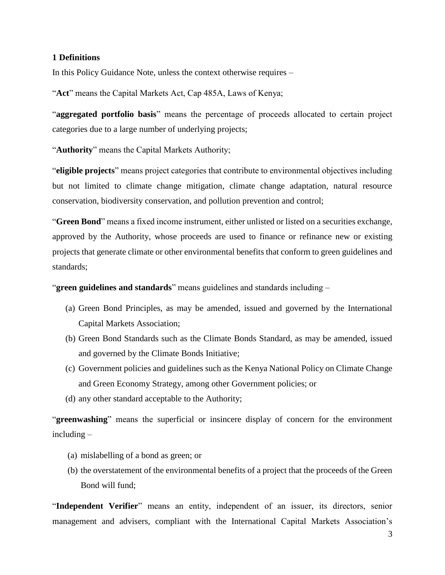#### <span id="page-2-0"></span>**1 Definitions**

In this Policy Guidance Note, unless the context otherwise requires –

"**Act**" means the Capital Markets Act, Cap 485A, Laws of Kenya;

"**aggregated portfolio basis**" means the percentage of proceeds allocated to certain project categories due to a large number of underlying projects;

"**Authority**" means the Capital Markets Authority;

"**eligible projects**" means project categories that contribute to environmental objectives including but not limited to climate change mitigation, climate change adaptation, natural resource conservation, biodiversity conservation, and pollution prevention and control;

"**Green Bond**" means a fixed income instrument, either unlisted or listed on a securities exchange, approved by the Authority, whose proceeds are used to finance or refinance new or existing projects that generate climate or other environmental benefits that conform to green guidelines and standards;

"**green guidelines and standards**" means guidelines and standards including –

- (a) Green Bond Principles, as may be amended, issued and governed by the International Capital Markets Association;
- (b) Green Bond Standards such as the Climate Bonds Standard, as may be amended, issued and governed by the Climate Bonds Initiative;
- (c) Government policies and guidelines such as the Kenya National Policy on Climate Change and Green Economy Strategy, among other Government policies; or
- (d) any other standard acceptable to the Authority;

"**greenwashing**" means the superficial or insincere display of concern for the environment including –

- (a) mislabelling of a bond as green; or
- (b) the overstatement of the environmental benefits of a project that the proceeds of the Green Bond will fund;

"**Independent Verifier**" means an entity, independent of an issuer, its directors, senior management and advisers, compliant with the International Capital Markets Association's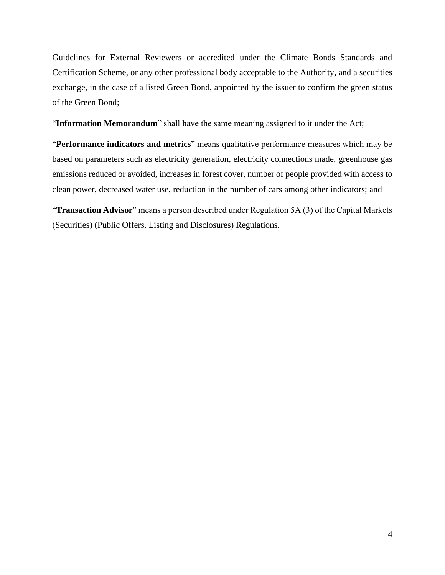Guidelines for External Reviewers or accredited under the Climate Bonds Standards and Certification Scheme, or any other professional body acceptable to the Authority, and a securities exchange, in the case of a listed Green Bond, appointed by the issuer to confirm the green status of the Green Bond;

"**Information Memorandum**" shall have the same meaning assigned to it under the Act;

"**Performance indicators and metrics**" means qualitative performance measures which may be based on parameters such as electricity generation, electricity connections made, greenhouse gas emissions reduced or avoided, increases in forest cover, number of people provided with access to clean power, decreased water use, reduction in the number of cars among other indicators; and

"**Transaction Advisor**" means a person described under Regulation 5A (3) of the Capital Markets (Securities) (Public Offers, Listing and Disclosures) Regulations.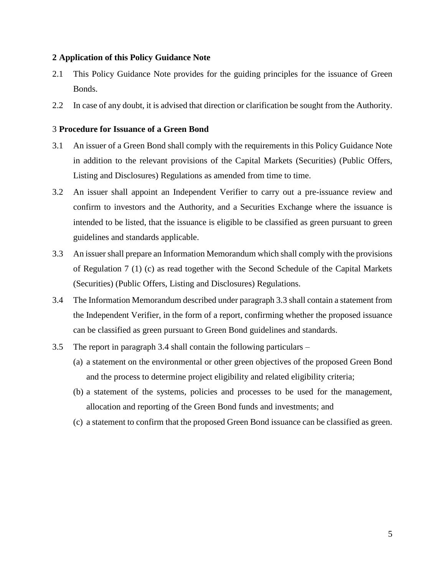## <span id="page-4-0"></span>**2 Application of this Policy Guidance Note**

- 2.1 This Policy Guidance Note provides for the guiding principles for the issuance of Green Bonds.
- 2.2 In case of any doubt, it is advised that direction or clarification be sought from the Authority.

# <span id="page-4-1"></span>3 **Procedure for Issuance of a Green Bond**

- 3.1 An issuer of a Green Bond shall comply with the requirements in this Policy Guidance Note in addition to the relevant provisions of the Capital Markets (Securities) (Public Offers, Listing and Disclosures) Regulations as amended from time to time.
- 3.2 An issuer shall appoint an Independent Verifier to carry out a pre-issuance review and confirm to investors and the Authority, and a Securities Exchange where the issuance is intended to be listed, that the issuance is eligible to be classified as green pursuant to green guidelines and standards applicable.
- 3.3 An issuershall prepare an Information Memorandum which shall comply with the provisions of Regulation 7 (1) (c) as read together with the Second Schedule of the Capital Markets (Securities) (Public Offers, Listing and Disclosures) Regulations.
- 3.4 The Information Memorandum described under paragraph 3.3 shall contain a statement from the Independent Verifier, in the form of a report, confirming whether the proposed issuance can be classified as green pursuant to Green Bond guidelines and standards.
- 3.5 The report in paragraph 3.4 shall contain the following particulars
	- (a) a statement on the environmental or other green objectives of the proposed Green Bond and the process to determine project eligibility and related eligibility criteria;
	- (b) a statement of the systems, policies and processes to be used for the management, allocation and reporting of the Green Bond funds and investments; and
	- (c) a statement to confirm that the proposed Green Bond issuance can be classified as green.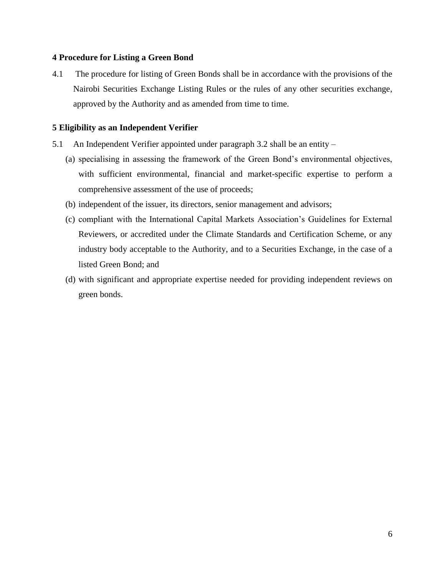## <span id="page-5-0"></span>**4 Procedure for Listing a Green Bond**

4.1 The procedure for listing of Green Bonds shall be in accordance with the provisions of the Nairobi Securities Exchange Listing Rules or the rules of any other securities exchange, approved by the Authority and as amended from time to time.

# <span id="page-5-1"></span>**5 Eligibility as an Independent Verifier**

- 5.1 An Independent Verifier appointed under paragraph 3.2 shall be an entity
	- (a) specialising in assessing the framework of the Green Bond's environmental objectives, with sufficient environmental, financial and market-specific expertise to perform a comprehensive assessment of the use of proceeds;
	- (b) independent of the issuer, its directors, senior management and advisors;
	- (c) compliant with the International Capital Markets Association's Guidelines for External Reviewers, or accredited under the Climate Standards and Certification Scheme, or any industry body acceptable to the Authority, and to a Securities Exchange, in the case of a listed Green Bond; and
	- (d) with significant and appropriate expertise needed for providing independent reviews on green bonds.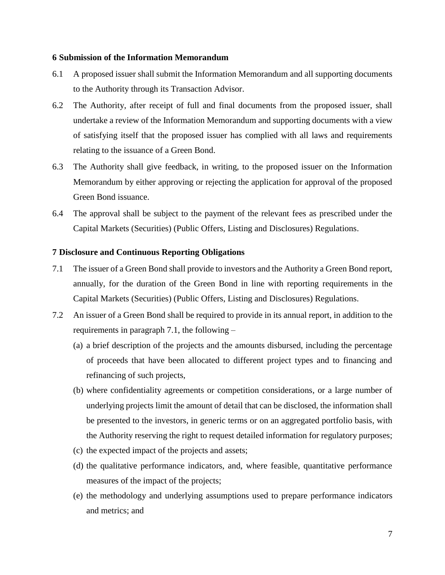#### <span id="page-6-0"></span>**6 Submission of the Information Memorandum**

- 6.1 A proposed issuer shall submit the Information Memorandum and all supporting documents to the Authority through its Transaction Advisor.
- 6.2 The Authority, after receipt of full and final documents from the proposed issuer, shall undertake a review of the Information Memorandum and supporting documents with a view of satisfying itself that the proposed issuer has complied with all laws and requirements relating to the issuance of a Green Bond.
- 6.3 The Authority shall give feedback, in writing, to the proposed issuer on the Information Memorandum by either approving or rejecting the application for approval of the proposed Green Bond issuance.
- 6.4 The approval shall be subject to the payment of the relevant fees as prescribed under the Capital Markets (Securities) (Public Offers, Listing and Disclosures) Regulations.

# <span id="page-6-1"></span>**7 Disclosure and Continuous Reporting Obligations**

- 7.1 The issuer of a Green Bond shall provide to investors and the Authority a Green Bond report, annually, for the duration of the Green Bond in line with reporting requirements in the Capital Markets (Securities) (Public Offers, Listing and Disclosures) Regulations.
- 7.2 An issuer of a Green Bond shall be required to provide in its annual report, in addition to the requirements in paragraph 7.1, the following –
	- (a) a brief description of the projects and the amounts disbursed, including the percentage of proceeds that have been allocated to different project types and to financing and refinancing of such projects,
	- (b) where confidentiality agreements or competition considerations, or a large number of underlying projects limit the amount of detail that can be disclosed, the information shall be presented to the investors, in generic terms or on an aggregated portfolio basis, with the Authority reserving the right to request detailed information for regulatory purposes;
	- (c) the expected impact of the projects and assets;
	- (d) the qualitative performance indicators, and, where feasible, quantitative performance measures of the impact of the projects;
	- (e) the methodology and underlying assumptions used to prepare performance indicators and metrics; and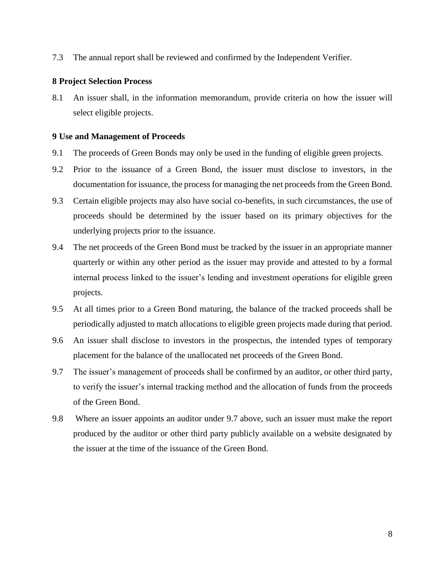7.3 The annual report shall be reviewed and confirmed by the Independent Verifier.

#### <span id="page-7-0"></span>**8 Project Selection Process**

8.1 An issuer shall, in the information memorandum, provide criteria on how the issuer will select eligible projects.

### <span id="page-7-1"></span>**9 Use and Management of Proceeds**

- 9.1 The proceeds of Green Bonds may only be used in the funding of eligible green projects.
- 9.2 Prior to the issuance of a Green Bond, the issuer must disclose to investors, in the documentation for issuance, the process for managing the net proceeds from the Green Bond.
- 9.3 Certain eligible projects may also have social co-benefits, in such circumstances, the use of proceeds should be determined by the issuer based on its primary objectives for the underlying projects prior to the issuance.
- 9.4 The net proceeds of the Green Bond must be tracked by the issuer in an appropriate manner quarterly or within any other period as the issuer may provide and attested to by a formal internal process linked to the issuer's lending and investment operations for eligible green projects.
- 9.5 At all times prior to a Green Bond maturing, the balance of the tracked proceeds shall be periodically adjusted to match allocations to eligible green projects made during that period.
- 9.6 An issuer shall disclose to investors in the prospectus, the intended types of temporary placement for the balance of the unallocated net proceeds of the Green Bond.
- 9.7 The issuer's management of proceeds shall be confirmed by an auditor, or other third party, to verify the issuer's internal tracking method and the allocation of funds from the proceeds of the Green Bond.
- 9.8 Where an issuer appoints an auditor under 9.7 above, such an issuer must make the report produced by the auditor or other third party publicly available on a website designated by the issuer at the time of the issuance of the Green Bond.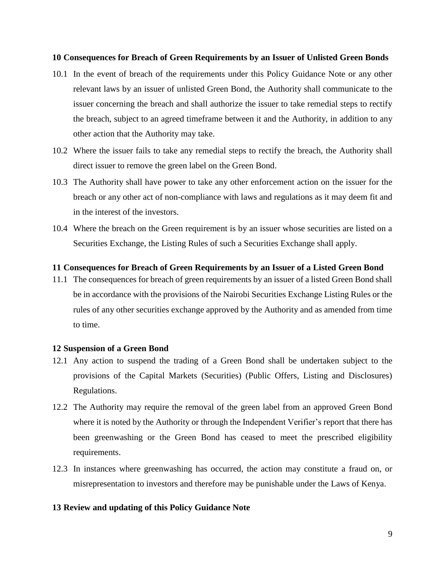#### <span id="page-8-0"></span>**10 Consequences for Breach of Green Requirements by an Issuer of Unlisted Green Bonds**

- 10.1 In the event of breach of the requirements under this Policy Guidance Note or any other relevant laws by an issuer of unlisted Green Bond, the Authority shall communicate to the issuer concerning the breach and shall authorize the issuer to take remedial steps to rectify the breach, subject to an agreed timeframe between it and the Authority, in addition to any other action that the Authority may take.
- 10.2 Where the issuer fails to take any remedial steps to rectify the breach, the Authority shall direct issuer to remove the green label on the Green Bond.
- 10.3 The Authority shall have power to take any other enforcement action on the issuer for the breach or any other act of non-compliance with laws and regulations as it may deem fit and in the interest of the investors.
- 10.4 Where the breach on the Green requirement is by an issuer whose securities are listed on a Securities Exchange, the Listing Rules of such a Securities Exchange shall apply.

# <span id="page-8-1"></span>**11 Consequences for Breach of Green Requirements by an Issuer of a Listed Green Bond**

11.1 The consequences for breach of green requirements by an issuer of a listed Green Bond shall be in accordance with the provisions of the Nairobi Securities Exchange Listing Rules or the rules of any other securities exchange approved by the Authority and as amended from time to time.

#### <span id="page-8-2"></span>**12 Suspension of a Green Bond**

- 12.1 Any action to suspend the trading of a Green Bond shall be undertaken subject to the provisions of the Capital Markets (Securities) (Public Offers, Listing and Disclosures) Regulations.
- 12.2 The Authority may require the removal of the green label from an approved Green Bond where it is noted by the Authority or through the Independent Verifier's report that there has been greenwashing or the Green Bond has ceased to meet the prescribed eligibility requirements.
- 12.3 In instances where greenwashing has occurred, the action may constitute a fraud on, or misrepresentation to investors and therefore may be punishable under the Laws of Kenya.

#### <span id="page-8-3"></span>**13 Review and updating of this Policy Guidance Note**